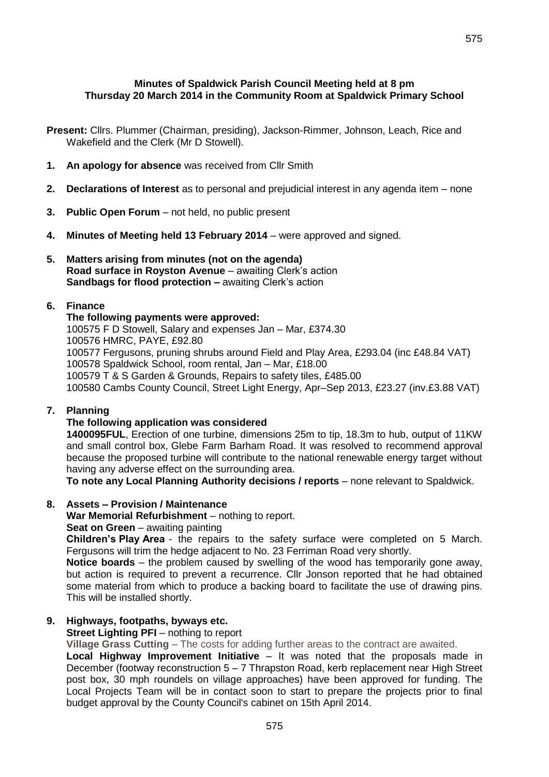**Present:** Cllrs. Plummer (Chairman, presiding), Jackson-Rimmer, Johnson, Leach, Rice and Wakefield and the Clerk (Mr D Stowell).

- **1. An apology for absence** was received from Cllr Smith
- **2. Declarations of Interest** as to personal and prejudicial interest in any agenda item none
- **3. Public Open Forum**  not held, no public present
- **4. Minutes of Meeting held 13 February 2014**  were approved and signed.
- **5. Matters arising from minutes (not on the agenda) Road surface in Royston Avenue** – awaiting Clerk's action **Sandbags for flood protection –** awaiting Clerk's action

## **6. Finance**

### **The following payments were approved:**

100575 F D Stowell, Salary and expenses Jan – Mar, £374.30 100576 HMRC, PAYE, £92.80 100577 Fergusons, pruning shrubs around Field and Play Area, £293.04 (inc £48.84 VAT) 100578 Spaldwick School, room rental, Jan – Mar, £18.00 100579 T & S Garden & Grounds, Repairs to safety tiles, £485.00 100580 Cambs County Council, Street Light Energy, Apr–Sep 2013, £23.27 (inv.£3.88 VAT)

### **7. Planning**

### **The following application was considered**

**1400095FUL**, Erection of one turbine, dimensions 25m to tip, 18.3m to hub, output of 11KW and small control box, Glebe Farm Barham Road. It was resolved to recommend approval because the proposed turbine will contribute to the national renewable energy target without having any adverse effect on the surrounding area.

**To note any Local Planning Authority decisions / reports** – none relevant to Spaldwick.

## **8. Assets – Provision / Maintenance**

**War Memorial Refurbishment** – nothing to report.

**Seat on Green** – awaiting painting

**Children's Play Area** - the repairs to the safety surface were completed on 5 March. Fergusons will trim the hedge adjacent to No. 23 Ferriman Road very shortly.

**Notice boards** – the problem caused by swelling of the wood has temporarily gone away, but action is required to prevent a recurrence. Cllr Jonson reported that he had obtained some material from which to produce a backing board to facilitate the use of drawing pins. This will be installed shortly.

# **9. Highways, footpaths, byways etc.**

### **Street Lighting PFI** – nothing to report

**Village Grass Cutting** – The costs for adding further areas to the contract are awaited.

**Local Highway Improvement Initiative** – It was noted that the proposals made in December (footway reconstruction 5 – 7 Thrapston Road, kerb replacement near High Street post box, 30 mph roundels on village approaches) have been approved for funding. The Local Projects Team will be in contact soon to start to prepare the projects prior to final budget approval by the County Council's cabinet on 15th April 2014.